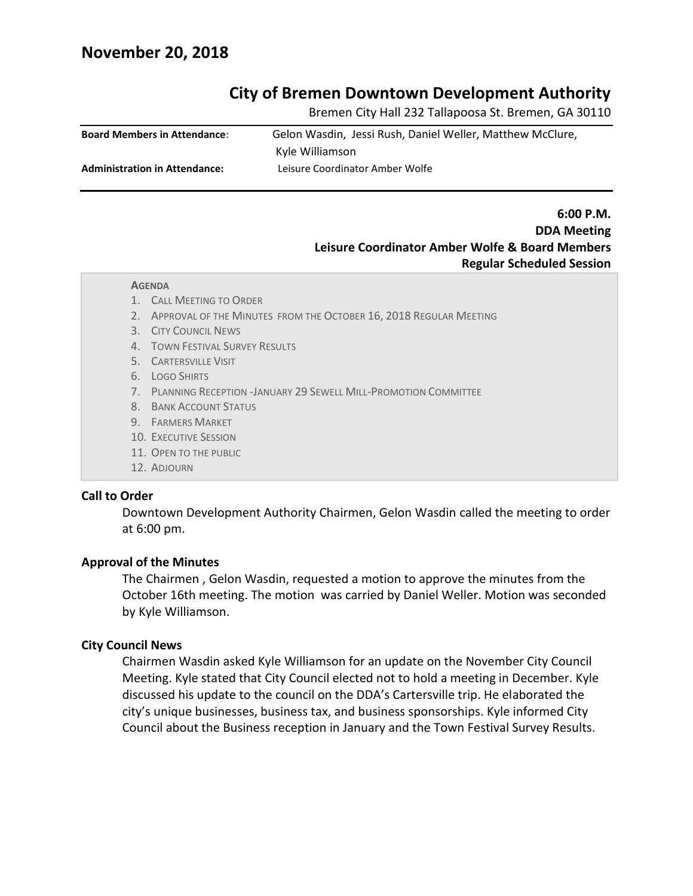## **November 20, 2018**

### **City of Bremen Downtown Development Authority**

Bremen City Hall 232 Tallapoosa St. Bremen, GA 30110

| <b>Board Members in Attendance:</b>  | Gelon Wasdin, Jessi Rush, Daniel Weller, Matthew McClure, |
|--------------------------------------|-----------------------------------------------------------|
|                                      | Kyle Williamson                                           |
| <b>Administration in Attendance:</b> | Leisure Coordinator Amber Wolfe                           |

### **6:00 P.M. DDA Meeting Leisure Coordinator Amber Wolfe & Board Members Regular Scheduled Session**

#### **AGENDA**

- 1. CALL MEETING TO ORDER
- 2. APPROVAL OF THE MINUTES FROM THE OCTOBER 16, 2018 REGULAR MEETING
- 3. CITY COUNCIL NEWS
- 4. TOWN FESTIVAL SURVEY RESULTS
- 5. CARTERSVILLE VISIT
- 6. LOGO SHIRTS
- 7. PLANNING RECEPTION -JANUARY 29 SEWELL MILL-PROMOTION COMMITTEE
- 8. BANK ACCOUNT STATUS
- 9. FARMERS MARKET
- 10. EXECUTIVE SESSION
- 11. OPEN TO THE PUBLIC
- 12. ADJOURN

#### **Call to Order**

Downtown Development Authority Chairmen, Gelon Wasdin called the meeting to order at 6:00 pm.

#### **Approval of the Minutes**

The Chairmen , Gelon Wasdin, requested a motion to approve the minutes from the October 16th meeting. The motion was carried by Daniel Weller. Motion was seconded by Kyle Williamson.

#### **City Council News**

Chairmen Wasdin asked Kyle Williamson for an update on the November City Council Meeting. Kyle stated that City Council elected not to hold a meeting in December. Kyle discussed his update to the council on the DDA's Cartersville trip. He elaborated the city's unique businesses, business tax, and business sponsorships. Kyle informed City Council about the Business reception in January and the Town Festival Survey Results.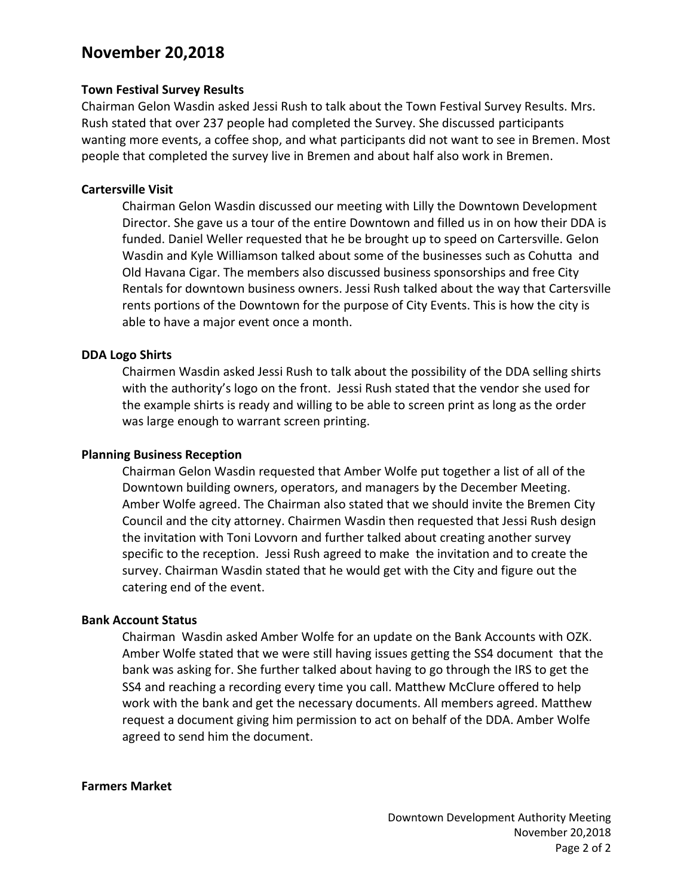# **November 20,2018**

### **Town Festival Survey Results**

Chairman Gelon Wasdin asked Jessi Rush to talk about the Town Festival Survey Results. Mrs. Rush stated that over 237 people had completed the Survey. She discussed participants wanting more events, a coffee shop, and what participants did not want to see in Bremen. Most people that completed the survey live in Bremen and about half also work in Bremen.

#### **Cartersville Visit**

Chairman Gelon Wasdin discussed our meeting with Lilly the Downtown Development Director. She gave us a tour of the entire Downtown and filled us in on how their DDA is funded. Daniel Weller requested that he be brought up to speed on Cartersville. Gelon Wasdin and Kyle Williamson talked about some of the businesses such as Cohutta and Old Havana Cigar. The members also discussed business sponsorships and free City Rentals for downtown business owners. Jessi Rush talked about the way that Cartersville rents portions of the Downtown for the purpose of City Events. This is how the city is able to have a major event once a month.

#### **DDA Logo Shirts**

Chairmen Wasdin asked Jessi Rush to talk about the possibility of the DDA selling shirts with the authority's logo on the front. Jessi Rush stated that the vendor she used for the example shirts is ready and willing to be able to screen print as long as the order was large enough to warrant screen printing.

#### **Planning Business Reception**

Chairman Gelon Wasdin requested that Amber Wolfe put together a list of all of the Downtown building owners, operators, and managers by the December Meeting. Amber Wolfe agreed. The Chairman also stated that we should invite the Bremen City Council and the city attorney. Chairmen Wasdin then requested that Jessi Rush design the invitation with Toni Lovvorn and further talked about creating another survey specific to the reception. Jessi Rush agreed to make the invitation and to create the survey. Chairman Wasdin stated that he would get with the City and figure out the catering end of the event.

#### **Bank Account Status**

Chairman Wasdin asked Amber Wolfe for an update on the Bank Accounts with OZK. Amber Wolfe stated that we were still having issues getting the SS4 document that the bank was asking for. She further talked about having to go through the IRS to get the SS4 and reaching a recording every time you call. Matthew McClure offered to help work with the bank and get the necessary documents. All members agreed. Matthew request a document giving him permission to act on behalf of the DDA. Amber Wolfe agreed to send him the document.

#### **Farmers Market**